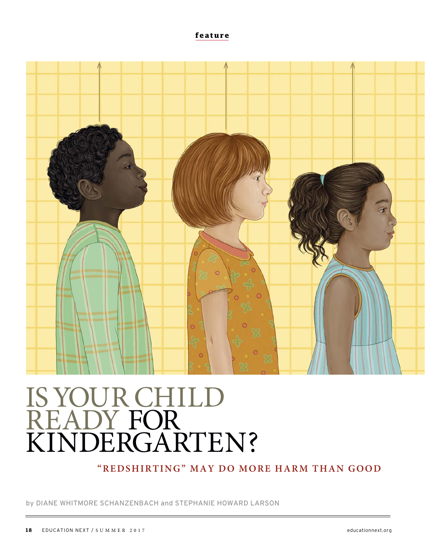**feature**



# IS YOUR CHILD READY FOR KINDERGARTEN?

**"REDSHIRTING" MAY DO MORE HARM THAN GOOD**

by DIANE WHITMORE SCHANZENBACH and STEPHANIE HOWARD LARSON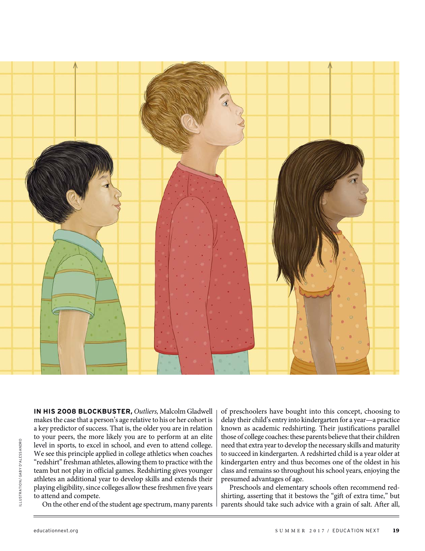

**IN HIS 2008 BLOCKBUSTER,** Outliers, Malcolm Gladwell makes the case that a person's age relative to his or her cohort is a key predictor of success. That is, the older you are in relation to your peers, the more likely you are to perform at an elite level in sports, to excel in school, and even to attend college. We see this principle applied in college athletics when coaches "redshirt" freshman athletes, allowing them to practice with the team but not play in official games. Redshirting gives younger athletes an additional year to develop skills and extends their playing eligibility, since colleges allow these freshmen five years to attend and compete.

On the other end of the student age spectrum, many parents

of preschoolers have bought into this concept, choosing to delay their child's entry into kindergarten for a year—a practice known as academic redshirting. Their justifications parallel those of college coaches: these parents believe that their children need that extra year to develop the necessary skills and maturity to succeed in kindergarten. A redshirted child is a year older at kindergarten entry and thus becomes one of the oldest in his class and remains so throughout his school years, enjoying the presumed advantages of age.

Preschools and elementary schools often recommend redshirting, asserting that it bestows the "gift of extra time," but parents should take such advice with a grain of salt. After all,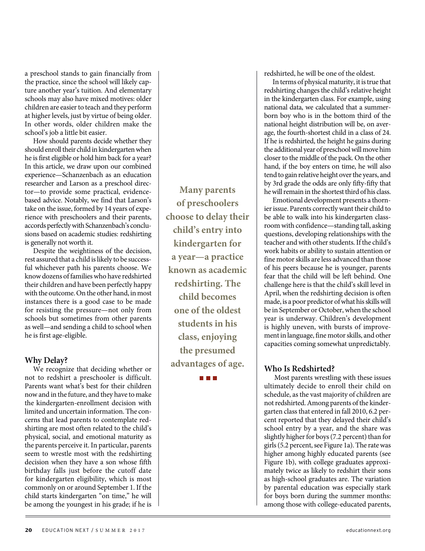a preschool stands to gain financially from the practice, since the school will likely capture another year's tuition. And elementary schools may also have mixed motives: older children are easier to teach and they perform at higher levels, just by virtue of being older. In other words, older children make the school's job a little bit easier.

How should parents decide whether they should enroll their child in kindergarten when he is first eligible or hold him back for a year? In this article, we draw upon our combined experience—Schanzenbach as an education researcher and Larson as a preschool director—to provide some practical, evidencebased advice. Notably, we find that Larson's take on the issue, formed by 14 years of experience with preschoolers and their parents, accords perfectly with Schanzenbach's conclusions based on academic studies: redshirting is generally not worth it.

Despite the weightiness of the decision, rest assured that a child is likely to be successful whichever path his parents choose. We know dozens of families who have redshirted their children and have been perfectly happy with the outcome. On the other hand, in most instances there is a good case to be made for resisting the pressure—not only from schools but sometimes from other parents as well—and sending a child to school when he is first age-eligible.

#### **Why Delay?**

We recognize that deciding whether or not to redshirt a preschooler is difficult. Parents want what's best for their children now and in the future, and they have to make the kindergarten-enrollment decision with limited and uncertain information. The concerns that lead parents to contemplate redshirting are most often related to the child's physical, social, and emotional maturity as the parents perceive it. In particular, parents seem to wrestle most with the redshirting decision when they have a son whose fifth birthday falls just before the cutoff date for kindergarten eligibility, which is most commonly on or around September 1. If the child starts kindergarten "on time," he will be among the youngest in his grade; if he is

**Many parents of preschoolers choose to delay their child's entry into kindergarten for a year—a practice known as academic redshirting. The child becomes one of the oldest students in his class, enjoying the presumed advantages of age.** 

**The Contract Contract** 

redshirted, he will be one of the oldest.

In terms of physical maturity, it is true that redshirting changes the child's relative height in the kindergarten class. For example, using national data, we calculated that a summerborn boy who is in the bottom third of the national height distribution will be, on average, the fourth-shortest child in a class of 24. If he is redshirted, the height he gains during the additional year of preschool will move him closer to the middle of the pack. On the other hand, if the boy enters on time, he will also tend to gain relative height over the years, and by 3rd grade the odds are only fifty-fifty that he will remain in the shortest third of his class.

Emotional development presents a thornier issue. Parents correctly want their child to be able to walk into his kindergarten classroom with confidence—standing tall, asking questions, developing relationships with the teacher and with other students. If the child's work habits or ability to sustain attention or fine motor skills are less advanced than those of his peers because he is younger, parents fear that the child will be left behind. One challenge here is that the child's skill level in April, when the redshirting decision is often made, is a poor predictor of what his skills will be in September or October, when the school year is underway. Children's development is highly uneven, with bursts of improvement in language, fine motor skills, and other capacities coming somewhat unpredictably.

## **Who Is Redshirted?**

 Most parents wrestling with these issues ultimately decide to enroll their child on schedule, as the vast majority of children are not redshirted. Among parents of the kindergarten class that entered in fall 2010, 6.2 percent reported that they delayed their child's school entry by a year, and the share was slightly higher for boys (7.2 percent) than for girls (5.2 percent, see Figure 1a). The rate was higher among highly educated parents (see Figure 1b), with college graduates approximately twice as likely to redshirt their sons as high-school graduates are. The variation by parental education was especially stark for boys born during the summer months: among those with college-educated parents,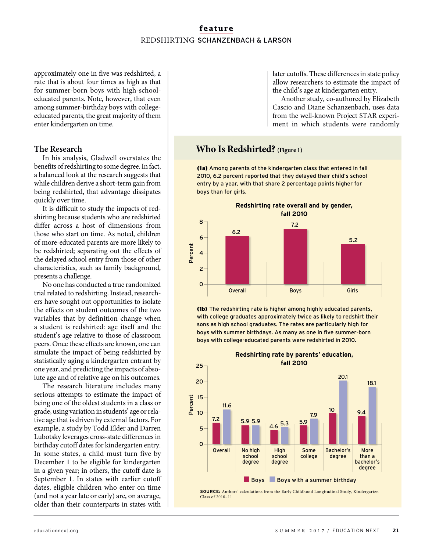## **feature** REDSHIRTING SCHANZENBACH & LARSON

approximately one in five was redshirted, a rate that is about four times as high as that for summer-born boys with high-schooleducated parents. Note, however, that even among summer-birthday boys with collegeeducated parents, the great majority of them enter kindergarten on time.

#### **The Research**

In his analysis, Gladwell overstates the benefits of redshirting to some degree. In fact, a balanced look at the research suggests that while children derive a short-term gain from being redshirted, that advantage dissipates quickly over time.

It is difficult to study the impacts of redshirting because students who are redshirted differ across a host of dimensions from those who start on time. As noted, children of more-educated parents are more likely to be redshirted; separating out the effects of the delayed school entry from those of other characteristics, such as family background, presents a challenge.

No one has conducted a true randomized trial related to redshirting. Instead, researchers have sought out opportunities to isolate the effects on student outcomes of the two variables that by definition change when a student is redshirted: age itself and the student's age relative to those of classroom peers. Once these effects are known, one can simulate the impact of being redshirted by statistically aging a kindergarten entrant by one year, and predicting the impacts of absolute age and of relative age on his outcomes.

The research literature includes many serious attempts to estimate the impact of being one of the oldest students in a class or grade, using variation in students' age or relative age that is driven by external factors. For example, a study by Todd Elder and Darren Lubotsky leverages cross-state differences in birthday cutoff dates for kindergarten entry. In some states, a child must turn five by December 1 to be eligible for kindergarten in a given year; in others, the cutoff date is September 1. In states with earlier cutoff dates, eligible children who enter on time (and not a year late or early) are, on average, older than their counterparts in states with

later cutoffs. These differences in state policy allow researchers to estimate the impact of the child's age at kindergarten entry.

Another study, co-authored by Elizabeth Cascio and Diane Schanzenbach, uses data from the well-known Project STAR experiment in which students were randomly

## **Who Is Redshirted? (Figure 1)**

(1a) Among parents of the kindergarten class that entered in fall 2010, 6.2 percent reported that they delayed their child's school entry by a year, with that share 2 percentage points higher for boys than for girls.



(1b) The redshirting rate is higher among highly educated parents, with college graduates approximately twice as likely to redshirt their sons as high school graduates. The rates are particularly high for boys with summer birthdays. As many as one in five summer-born boys with college-educated parents were redshirted in 2010.

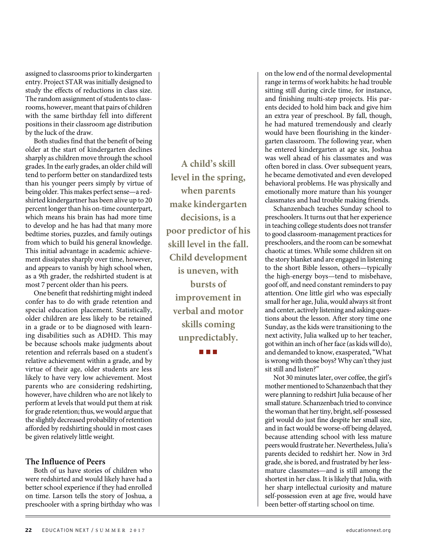assigned to classrooms prior to kindergarten entry. Project STAR was initially designed to study the effects of reductions in class size. The random assignment of students to classrooms, however, meant that pairs of children with the same birthday fell into different positions in their classroom age distribution by the luck of the draw.

Both studies find that the benefit of being older at the start of kindergarten declines sharply as children move through the school grades. In the early grades, an older child will tend to perform better on standardized tests than his younger peers simply by virtue of being older. This makes perfect sense—a redshirted kindergartner has been alive up to 20 percent longer than his on-time counterpart, which means his brain has had more time to develop and he has had that many more bedtime stories, puzzles, and family outings from which to build his general knowledge. This initial advantage in academic achievement dissipates sharply over time, however, and appears to vanish by high school when, as a 9th grader, the redshirted student is at most 7 percent older than his peers.

One benefit that redshirting might indeed confer has to do with grade retention and special education placement. Statistically, older children are less likely to be retained in a grade or to be diagnosed with learning disabilities such as ADHD. This may be because schools make judgments about retention and referrals based on a student's relative achievement within a grade, and by virtue of their age, older students are less likely to have very low achievement. Most parents who are considering redshirting, however, have children who are not likely to perform at levels that would put them at risk for grade retention; thus, we would argue that the slightly decreased probability of retention afforded by redshirting should in most cases be given relatively little weight.

#### **The Influence of Peers**

Both of us have stories of children who were redshirted and would likely have had a better school experience if they had enrolled on time. Larson tells the story of Joshua, a preschooler with a spring birthday who was

**A child's skill level in the spring, when parents make kindergarten decisions, is a poor predictor of his skill level in the fall. Child development is uneven, with bursts of improvement in verbal and motor skills coming unpredictably.** 

**The College** 

on the low end of the normal developmental range in terms of work habits: he had trouble sitting still during circle time, for instance, and finishing multi-step projects. His parents decided to hold him back and give him an extra year of preschool. By fall, though, he had matured tremendously and clearly would have been flourishing in the kindergarten classroom. The following year, when he entered kindergarten at age six, Joshua was well ahead of his classmates and was often bored in class. Over subsequent years, he became demotivated and even developed behavioral problems. He was physically and emotionally more mature than his younger classmates and had trouble making friends.

Schanzenbach teaches Sunday school to preschoolers. It turns out that her experience in teaching college students does not transfer to good classroom-management practices for preschoolers, and the room can be somewhat chaotic at times. While some children sit on the story blanket and are engaged in listening to the short Bible lesson, others—typically the high-energy boys—tend to misbehave, goof off, and need constant reminders to pay attention. One little girl who was especially small for her age, Julia, would always sit front and center, actively listening and asking questions about the lesson. After story time one Sunday, as the kids were transitioning to the next activity, Julia walked up to her teacher, got within an inch of her face (as kids will do), and demanded to know, exasperated, "What is wrong with those boys? Why can't they just sit still and listen?"

Not 30 minutes later, over coffee, the girl's mother mentioned to Schanzenbach that they were planning to redshirt Julia because of her small stature. Schanzenbach tried to convince the woman that her tiny, bright, self-possessed girl would do just fine despite her small size, and in fact would be worse-off being delayed, because attending school with less mature peers would frustrate her. Nevertheless, Julia's parents decided to redshirt her. Now in 3rd grade, she is bored, and frustrated by her lessmature classmates—and is still among the shortest in her class. It is likely that Julia, with her sharp intellectual curiosity and mature self-possession even at age five, would have been better-off starting school on time.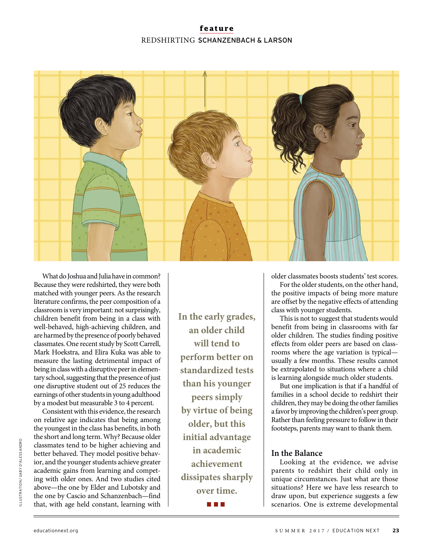## **feature** REDSHIRTING SCHANZENBACH & LARSON



What do Joshua and Julia have in common? Because they were redshirted, they were both matched with younger peers. As the research literature confirms, the peer composition of a classroom is very important: not surprisingly, children benefit from being in a class with well-behaved, high-achieving children, and are harmed by the presence of poorly behaved classmates. One recent study by Scott Carrell, Mark Hoekstra, and Elira Kuka was able to measure the lasting detrimental impact of being in class with a disruptive peer in elementary school, suggesting that the presence of just one disruptive student out of 25 reduces the earnings of other students in young adulthood by a modest but measurable 3 to 4 percent.

Consistent with this evidence, the research on relative age indicates that being among the youngest in the class has benefits, in both the short and long term. Why? Because older classmates tend to be higher achieving and better behaved. They model positive behavior, and the younger students achieve greater academic gains from learning and competing with older ones. And two studies cited above—the one by Elder and Lubotsky and the one by Cascio and Schanzenbach—find that, with age held constant, learning with

**In the early grades, an older child will tend to perform better on standardized tests than his younger peers simply by virtue of being older, but this initial advantage in academic achievement dissipates sharply over time.** 

a a shekara

older classmates boosts students' test scores.

For the older students, on the other hand, the positive impacts of being more mature are offset by the negative effects of attending class with younger students.

This is not to suggest that students would benefit from being in classrooms with far older children. The studies finding positive effects from older peers are based on classrooms where the age variation is typical usually a few months. These results cannot be extrapolated to situations where a child is learning alongside much older students.

But one implication is that if a handful of families in a school decide to redshirt their children, they may be doing the other families a favor by improving the children's peer group. Rather than feeling pressure to follow in their footsteps, parents may want to thank them.

#### **In the Balance**

Looking at the evidence, we advise parents to redshirt their child only in unique circumstances. Just what are those situations? Here we have less research to draw upon, but experience suggests a few scenarios. One is extreme developmental